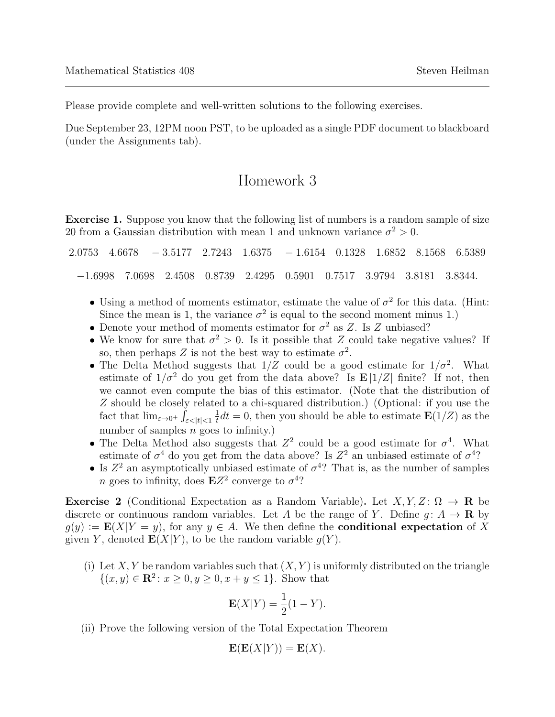Please provide complete and well-written solutions to the following exercises.

Due September 23, 12PM noon PST, to be uploaded as a single PDF document to blackboard (under the Assignments tab).

## Homework 3

Exercise 1. Suppose you know that the following list of numbers is a random sample of size 20 from a Gaussian distribution with mean 1 and unknown variance  $\sigma^2 > 0$ .

|  |  |                                                                           |  |  | $2.0753$ $4.6678$ $-3.5177$ $2.7243$ $1.6375$ $-1.6154$ $0.1328$ $1.6852$ $8.1568$ $6.5389$ |
|--|--|---------------------------------------------------------------------------|--|--|---------------------------------------------------------------------------------------------|
|  |  | $-1.6998$ 7.0698 2.4508 0.8739 2.4295 0.5901 0.7517 3.9794 3.8181 3.8344. |  |  |                                                                                             |

- Using a method of moments estimator, estimate the value of  $\sigma^2$  for this data. (Hint: Since the mean is 1, the variance  $\sigma^2$  is equal to the second moment minus 1.)
- Denote your method of moments estimator for  $\sigma^2$  as Z. Is Z unbiased?
- We know for sure that  $\sigma^2 > 0$ . Is it possible that Z could take negative values? If so, then perhaps Z is not the best way to estimate  $\sigma^2$ .
- The Delta Method suggests that  $1/Z$  could be a good estimate for  $1/\sigma^2$ . What estimate of  $1/\sigma^2$  do you get from the data above? Is  $\mathbf{E} |1/Z|$  finite? If not, then we cannot even compute the bias of this estimator. (Note that the distribution of Z should be closely related to a chi-squared distribution.) (Optional: if you use the fact that  $\lim_{\varepsilon \to 0^+} \int_{\varepsilon < |t| < 1}$ 1  $\frac{1}{t}dt = 0$ , then you should be able to estimate  $\mathbf{E}(1/Z)$  as the number of samples  $n$  goes to infinity.)
- The Delta Method also suggests that  $Z^2$  could be a good estimate for  $\sigma^4$ . What estimate of  $\sigma^4$  do you get from the data above? Is  $Z^2$  an unbiased estimate of  $\sigma^4$ ?
- Is  $Z^2$  an asymptotically unbiased estimate of  $\sigma^4$ ? That is, as the number of samples *n* goes to infinity, does  $EZ^2$  converge to  $\sigma^4$ ?

**Exercise 2** (Conditional Expectation as a Random Variable). Let  $X, Y, Z \colon \Omega \to \mathbf{R}$  be discrete or continuous random variables. Let A be the range of Y. Define  $g: A \to \mathbf{R}$  by  $g(y) := \mathbf{E}(X|Y = y)$ , for any  $y \in A$ . We then define the **conditional expectation** of X given Y, denoted  $\mathbf{E}(X|Y)$ , to be the random variable  $g(Y)$ .

(i) Let X, Y be random variables such that  $(X, Y)$  is uniformly distributed on the triangle  $\{(x, y) \in \mathbb{R}^2 : x \ge 0, y \ge 0, x+y \le 1\}.$  Show that

$$
\mathbf{E}(X|Y) = \frac{1}{2}(1-Y).
$$

(ii) Prove the following version of the Total Expectation Theorem

$$
\mathbf{E}(\mathbf{E}(X|Y)) = \mathbf{E}(X).
$$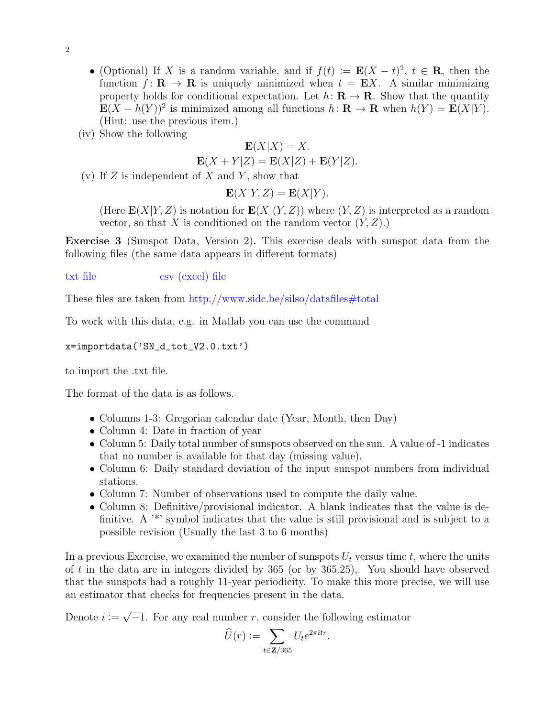- 2
- (Optional) If X is a random variable, and if  $f(t) := \mathbf{E}(X t)^2$ ,  $t \in \mathbf{R}$ , then the function  $f: \mathbf{R} \to \mathbf{R}$  is uniquely minimized when  $t = \mathbf{E}X$ . A similar minimizing property holds for conditional expectation. Let  $h: \mathbf{R} \to \mathbf{R}$ . Show that the quantity  $\mathbf{E}(X - h(Y))^2$  is minimized among all functions  $h: \mathbf{R} \to \mathbf{R}$  when  $h(Y) = \mathbf{E}(X|Y)$ . (Hint: use the previous item.)
- (iv) Show the following

$$
\mathbf{E}(X|X) = X.
$$
  

$$
\mathbf{E}(X+Y|Z) = \mathbf{E}(X|Z) + \mathbf{E}(Y|Z).
$$

(v) If  $Z$  is independent of  $X$  and  $Y$ , show that

$$
\mathbf{E}(X|Y,Z) = \mathbf{E}(X|Y).
$$

(Here  $\mathbf{E}(X|Y,Z)$  is notation for  $\mathbf{E}(X|(Y,Z))$  where  $(Y,Z)$  is interpreted as a random vector, so that X is conditioned on the random vector  $(Y, Z)$ .)

Exercise 3 (Sunspot Data, Version 2). This exercise deals with sunspot data from the following files (the same data appears in different formats)

## [txt file](http://www.sidc.be/silso/DATA/SN_d_tot_V2.0.txt) [csv \(excel\) file](http://www.sidc.be/silso/INFO/sndtotcsv.php)

These files are taken from <http://www.sidc.be/silso/datafiles#total>

To work with this data, e.g. in Matlab you can use the command

x=importdata('SN\_d\_tot\_V2.0.txt')

to import the .txt file.

The format of the data is as follows.

- Columns 1-3: Gregorian calendar date (Year, Month, then Day)
- Column 4: Date in fraction of year
- Column 5: Daily total number of sunspots observed on the sun. A value of -1 indicates that no number is available for that day (missing value).
- Column 6: Daily standard deviation of the input sunspot numbers from individual stations.
- Column 7: Number of observations used to compute the daily value.
- Column 8: Definitive/provisional indicator. A blank indicates that the value is definitive. A <sup>\*\*</sup>' symbol indicates that the value is still provisional and is subject to a possible revision (Usually the last 3 to 6 months)

In a previous Exercise, we examined the number of sunspots  $U_t$  versus time t, where the units of t in the data are in integers divided by  $365$  (or by  $365.25$ ),. You should have observed that the sunspots had a roughly 11-year periodicity. To make this more precise, we will use an estimator that checks for frequencies present in the data.

Denote  $i :=$ √  $\overline{-1}$ . For any real number r, consider the following estimator

$$
\widehat{U}(r) := \sum_{t \in \mathbf{Z}/365} U_t e^{2\pi i tr}.
$$